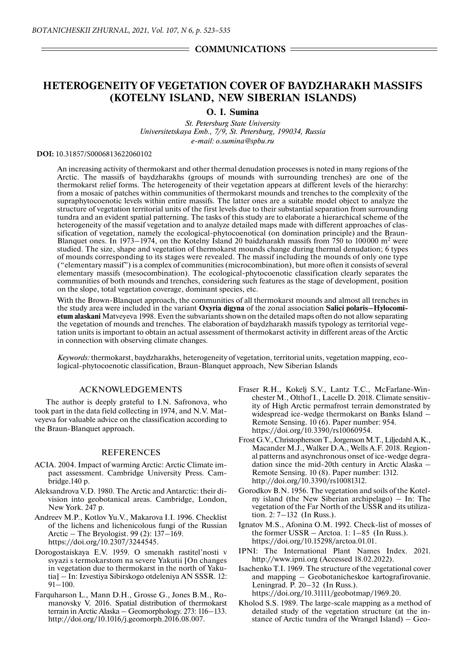# **HETEROGENEITY OF VEGETATION COVER OF BAYDZHARAKH MASSIFS (KOTELNY ISLAND, NEW SIBERIAN ISLANDS)**

# **O. I. Sumina**

*St. Petersburg State University Universitetskaya Emb., 7/9, St. Petersburg, 199034, Russia e-mail: o.sumina@spbu.ru*

## **DOI:** 10.31857/S0006813622060102

An increasing activity of thermokarst and other thermal denudation processes is noted in many regions of the Arctic. The massifs of baydzharakhs (groups of mounds with surrounding trenches) are one of the thermokarst relief forms. The heterogeneity of their vegetation appears at different levels of the hierarchy: from a mosaic of patches within communities of thermokarst mounds and trenches to the complexity of the supraphytocoenotic levels within entire massifs. The latter ones are a suitable model object to analyze the structure of vegetation territorial units of the first levels due to their substantial separation from surrounding tundra and an evident spatial patterning. The tasks of this study are to elaborate a hierarchical scheme of the heterogeneity of the massif vegetation and to analyze detailed maps made with different approaches of classification of vegetation, namely the ecological-phytocoenotical (on domination principle) and the Braun-Blanquet ones. In 1973–1974, on the Kotelny Island 20 baidzharakh massifs from 750 to 100000 m<sup>2</sup> were studied. The size, shape and vegetation of thermokarst mounds change during thermal denudation; 6 types of mounds corresponding to its stages were revealed. The massif including the mounds of only one type ("elementary massif") is a complex of communities (microcombination), but more often it consists of several elementary massifs (mesocombination). The ecological-phytocoenotic classification clearly separates the communities of both mounds and trenches, considering such features as the stage of development, position on the slope, total vegetation coverage, dominant species, etc.

With the Brown-Blanquet approach, the communities of all thermokarst mounds and almost all trenches in the study area were included in the variant **Oxyria digyna** of the zonal association **Salici polaris–Hylocomietum alaskani** Matveyeva 1998. Even the subvariants shown on the detailed maps often do not allow separating the vegetation of mounds and trenches. The elaboration of baydzharakh massifs typology as territorial vegetation units is important to obtain an actual assessment of thermokarst activity in different areas of the Arctic in connection with observing climate changes.

*Keywords:* thermokarst, baydzharakhs, heterogeneity of vegetation, territorial units, vegetation mapping, ecological-phytocoenotic classification, Braun-Blanquet approach, New Siberian Islands

### ACKNOWLEDGEMENTS

The author is deeply grateful to I.N. Safronova, who took part in the data field collecting in 1974, and N.V. Matveyeva for valuable advice on the classification according to the Braun-Blanquet approach.

#### **REFERENCES**

- ACIA. 2004. Impact of warming Arctic: Arctic Climate impact assessment. Cambridge University Press. Cambridge.140 p.
- Aleksandrova V.D. 1980. The Arctic and Antarctic: their division into geobotanical areas. Cambridge, London, New York. 247 p.
- Andreev M.P., Kotlov Yu.V., Makarova I.I. 1996. Checklist of the lichens and lichenicolous fungi of the Russian Arctic – The Bryologist. 99 (2): 137–169. https://doi.org/10.2307/3244545.
- Dorogostaiskaya E.V. 1959. O smenakh rastitel'nosti v svyazi s termokarstom na severe Yakutii [On changes in vegetation due to thermokarst in the north of Yakutia] – In: Izvestiya Sibirskogo otdeleniya AN SSSR. 12:  $91 - 100$ .
- Farquharson L., Mann D.H., Grosse G., Jones B.M., Romanovsky V. 2016. Spatial distribution of thermokarst terrain in Arctic Alaska – Geomorphology. 273: 116–133. http://doi.org/10.1016/j.geomorph.2016.08.007.
- Fraser R.H., Kokelj S.V., Lantz T.C., McFarlane-Winchester M., Olthof I., Lacelle D. 2018. Climate sensitivity of High Arctic permafrost terrain demonstrated by widespread ice-wedge thermokarst on Banks Island – Remote Sensing. 10 (6). Paper number: 954. https://doi.org/10.3390/rs10060954.
- Frost G.V., Christopherson T., Jorgenson M.T., Liljedahl A.K., Macander M.J., Walker D.A., Wells A.F. 2018. Regional patterns and asynchronous onset of ice-wedge degradation since the mid-20th century in Arctic Alaska – Remote Sensing. 10 (8). Paper number: 1312. http://doi.org/10.3390/rs10081312.
- Gorodkov B.N. 1956. The vegetation and soils of the Kotelny island (the New Siberian archipelago) – In: The vegetation of the Far North of the USSR and its utilization. 2: 7–132 (In Russ.).
- Ignatov M.S., Afonina O.M. 1992. Check-list of mosses of the former USSR – Arctoa. 1: 1–85 (In Russ.). https://doi.org/10.15298/arctoa.01.01.
- IPNI: The International Plant Names Index. 2021. http://www.ipni.org (Accessed 18.02.2022).
- Isachenko T.I. 1969. The structure of the vegetational cover and mapping – Geobotanicheskoe kartografirovanie. Leningrad. P. 20–32 (In Russ.). https://doi.org/10.31111/geobotmap/1969.20.
- Kholod S.S. 1989. The large-scale mapping as a method of detailed study of the vegetation structure (at the instance of Arctic tundra of the Wrangel Island) – Geo-